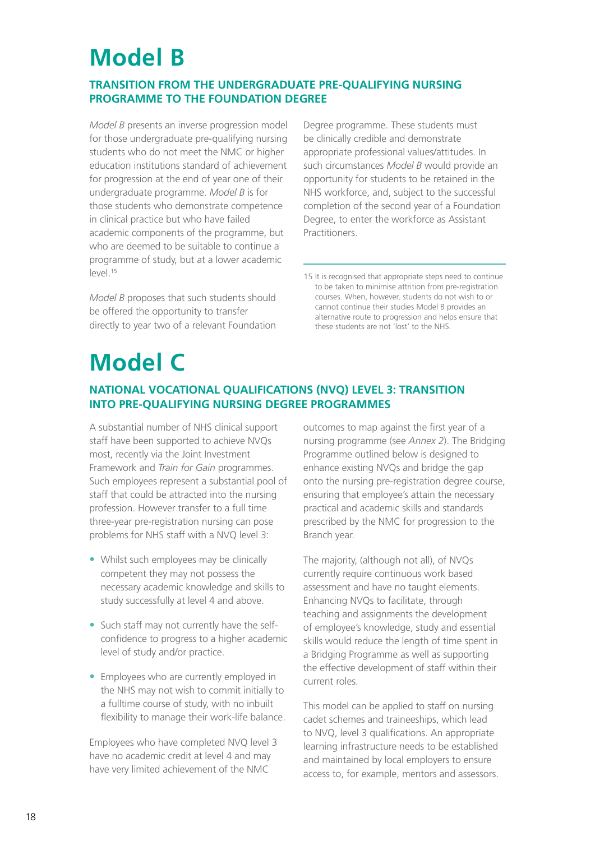## **model B**

## **transition from the unDergraDuate pre-qualifying nursing programme to the founDation Degree**

 *Model B* presents an inverse progression model for those undergraduate pre-qualifying nursing students who do not meet the NMC or higher education institutions standard of achievement for progression at the end of year one of their undergraduate programme. *Model B* is for those students who demonstrate competence in clinical practice but who have failed academic components of the programme, but who are deemed to be suitable to continue a programme of study, but at a lower academic level.15

 *Model B* proposes that such students should be offered the opportunity to transfer directly to year two of a relevant Foundation Degree programme. These students must be clinically credible and demonstrate such circumstances *Model B* would provide an opportunity for students to be retained in the nHs workforce, and, subject to the successful completion of the second year of a Foundation Degree, to enter the workforce as Assistant appropriate professional values/attitudes. In Practitioners.

# **model c**

## **national vocational qualifications (nvq) level 3: transition into pre-qualifying nursing Degree programmes**

 A substantial number of nHs clinical support staff have been supported to achieve nVQs most, recently via the Joint Investment Framework and *Train for Gain* programmes. such employees represent a substantial pool of staff that could be attracted into the nursing profession. However transfer to a full time three-year pre-registration nursing can pose problems for NHS staff with a NVQ level 3:

- Whilst such employees may be clinically competent they may not possess the necessary academic knowledge and skills to study successfully at level 4 and above.
- Such staff may not currently have the self- confidence to progress to a higher academic level of study and/or practice.
- Employees who are currently employed in the NHS may not wish to commit initially to a fulltime course of study, with no inbuilt flexibility to manage their work-life balance.

 employees who have completed nVQ level 3 have no academic credit at level 4 and may have very limited achievement of the NMC

 outcomes to map against the first year of a nursing programme (see *Annex 2*). The Bridging Programme outlined below is designed to enhance existing nVQs and bridge the gap onto the nursing pre-registration degree course, ensuring that employee's attain the necessary practical and academic skills and standards prescribed by the NMC for progression to the Branch year.

The majority, (although not all), of NVQs currently require continuous work based assessment and have no taught elements. Enhancing NVQs to facilitate, through teaching and assignments the development of employee's knowledge, study and essential skills would reduce the length of time spent in a Bridging Programme as well as supporting the effective development of staff within their current roles.

This model can be applied to staff on nursing cadet schemes and traineeships, which lead to nVQ, level 3 qualifications. An appropriate learning infrastructure needs to be established and maintained by local employers to ensure access to, for example, mentors and assessors.

<sup>15</sup> It is recognised that appropriate steps need to continue to be taken to minimise attrition from pre-registration courses. when, however, students do not wish to or cannot continue their studies model B provides an alternative route to progression and helps ensure that these students are not 'lost' to the nHs.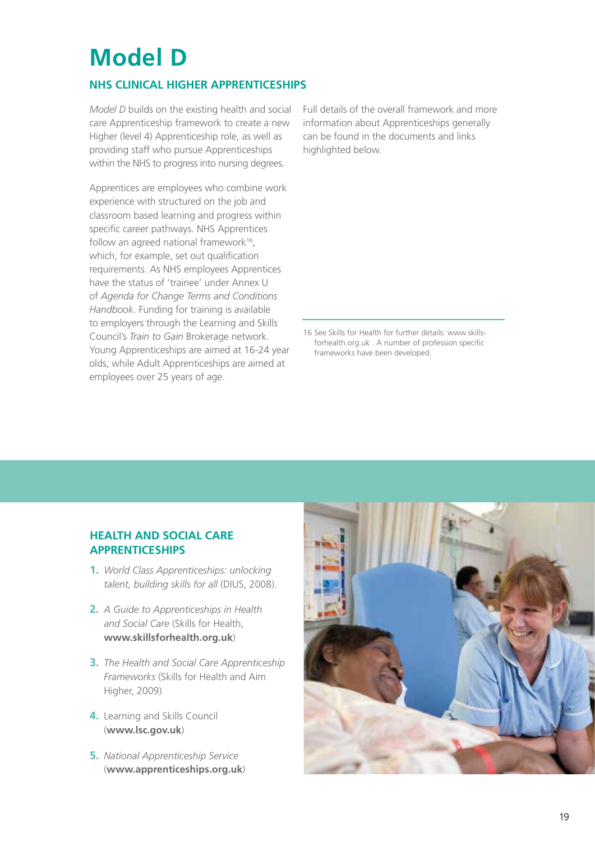## **model D**

## **nhs clinical higher apprenticeships**

*Model D* builds on the existing health and social care Apprenticeship framework to create a new Higher (level 4) Apprenticeship role, as well as providing staff who pursue Apprenticeships within the NHS to progress into nursing degrees.

 Apprentices are employees who combine work experience with structured on the job and classroom based learning and progress within specific career pathways. NHS Apprentices follow an agreed national framework<sup>16</sup>, which, for example, set out qualification requirements. As NHS employees Apprentices have the status of 'trainee' under Annex U  of *Agenda for Change Terms and Conditions Handbook*. Funding for training is available to employers through the learning and skills  council's *Train to Gain* Brokerage network. Young Apprenticeships are aimed at 16-24 year olds, while Adult Apprenticeships are aimed at employees over 25 years of age.

 Full details of the overall framework and more information about Apprenticeships generally can be found in the documents and links highlighted below.

16 see skills for Health for further details: www.skillsforhealth.org.uk . A number of profession specific frameworks have been developed.

#### **health anD social care apprenticeships**

- **1.** �*World Class Apprenticeships: unlocking*  talent, building skills for all (DIUS, 2008).
- **2.** �*A Guide to Apprenticeships in Health and Social Care* (skills for Health, **www.skillsforhealth.org.uk**)
- **3.** �*The Health and Social Care Apprenticeship Frameworks* (skills for Health and Aim Higher, 2009)
- **4.** Learning and Skills Council (**www.lsc.gov.uk**)
- **5.** �*National Apprenticeship Service*  (**www.apprenticeships.org.uk**)

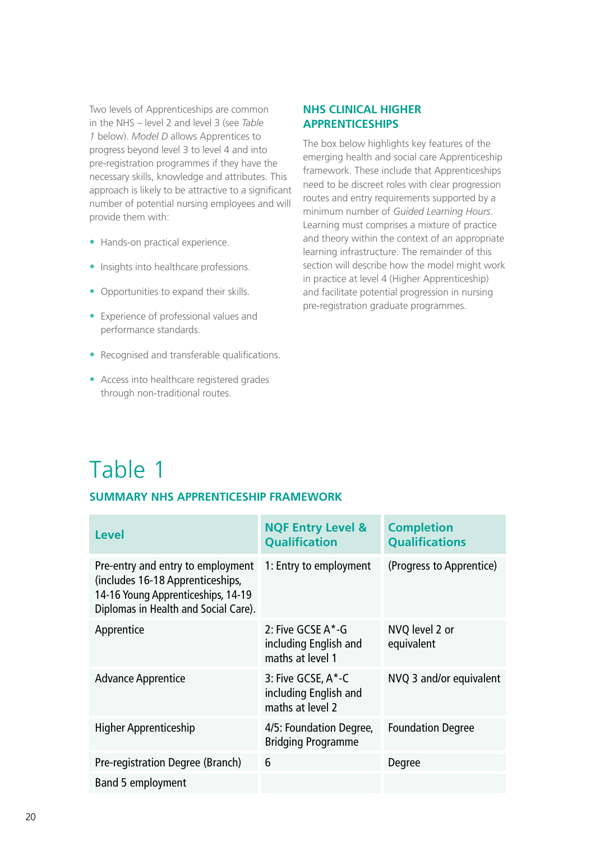two levels of Apprenticeships are common in the nHs – level 2 and level 3 (see *Table 1* below). *Model D* allows Apprentices to progress beyond level 3 to level 4 and into pre-registration programmes if they have the necessary skills, knowledge and attributes. This approach is likely to be attractive to a significant number of potential nursing employees and will provide them with:

- Hands-on practical experience.
- **•** Insights into healthcare professions.
- Opportunities to expand their skills.
- **•** Experience of professional values and performance standards.
- Recognised and transferable qualifications.
- **•** �Access into healthcare registered grades through non-traditional routes.

#### **nhs clinical higher apprenticeships**

The box below highlights key features of the emerging health and social care Apprenticeship framework. These include that Apprenticeships need to be discreet roles with clear progression routes and entry requirements supported by a minimum number of *Guided Learning Hours*. learning must comprises a mixture of practice and theory within the context of an appropriate learning infrastructure. The remainder of this section will describe how the model might work in practice at level 4 (Higher Apprenticeship) and facilitate potential progression in nursing pre-registration graduate programmes.

# Table 1

## **summary nhs apprenticeship frameWork**

| <b>Level</b>                                                                                                                                        | <b>NQF Entry Level &amp;</b><br><b>Qualification</b>            | <b>Completion</b><br><b>Qualifications</b> |
|-----------------------------------------------------------------------------------------------------------------------------------------------------|-----------------------------------------------------------------|--------------------------------------------|
| Pre-entry and entry to employment<br>(includes 16-18 Apprenticeships,<br>14-16 Young Apprenticeships, 14-19<br>Diplomas in Health and Social Care). | 1: Entry to employment                                          | (Progress to Apprentice)                   |
| Apprentice                                                                                                                                          | 2: Five GCSE A*-G<br>including English and<br>maths at level 1  | NVQ level 2 or<br>equivalent               |
| <b>Advance Apprentice</b>                                                                                                                           | 3: Five GCSE, A*-C<br>including English and<br>maths at level 2 | NVQ 3 and/or equivalent                    |
| <b>Higher Apprenticeship</b>                                                                                                                        | 4/5: Foundation Degree,<br><b>Bridging Programme</b>            | <b>Foundation Degree</b>                   |
| Pre-registration Degree (Branch)                                                                                                                    | 6                                                               | Degree                                     |
| Band 5 employment                                                                                                                                   |                                                                 |                                            |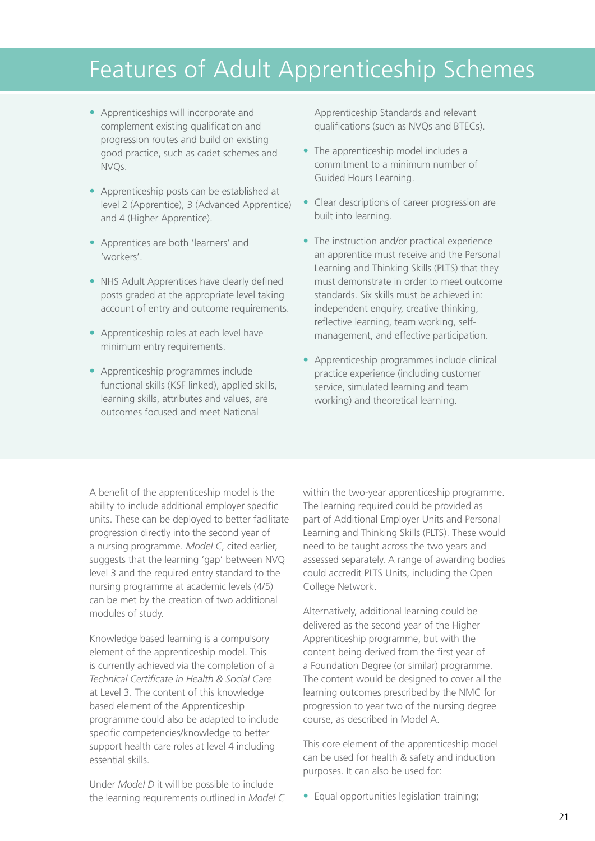## Features of Adult Apprenticeship schemes

- **•** �Apprenticeships will incorporate and complement existing qualification and progression routes and build on existing good practice, such as cadet schemes and nVQs.
- **•** �Apprenticeship posts can be established at level 2 (Apprentice), 3 (Advanced Apprentice) and 4 (Higher Apprentice).
- **•** �Apprentices are both 'learners' and 'workers'.
- NHS Adult Apprentices have clearly defined posts graded at the appropriate level taking account of entry and outcome requirements.
- **•** �Apprenticeship roles at each level have minimum entry requirements.
- functional skills (ksF linked), applied skills, learning skills, attributes and values, are outcomes focused and meet National **•** �Apprenticeship programmes include

 Apprenticeship standards and relevant qualifications (such as NVQs and BTECs).

- The apprenticeship model includes a commitment to a minimum number of Guided Hours Learning.
- **•** �clear descriptions of career progression are built into learning.
- The instruction and/or practical experience an apprentice must receive and the Personal Learning and Thinking Skills (PLTS) that they must demonstrate in order to meet outcome standards. six skills must be achieved in: independent enquiry, creative thinking, reflective learning, team working, self-management, and effective participation.
- **•** �Apprenticeship programmes include clinical practice experience (including customer service, simulated learning and team working) and theoretical learning.

 A benefit of the apprenticeship model is the ability to include additional employer specific units. These can be deployed to better facilitate progression directly into the second year of a nursing programme. *Model C*, cited earlier, suggests that the learning 'gap' between nVQ level 3 and the required entry standard to the nursing programme at academic levels (4/5) can be met by the creation of two additional modules of study.

 knowledge based learning is a compulsory element of the apprenticeship model. This is currently achieved via the completion of a  *Technical Certificate in Health & Social Care*  at Level 3. The content of this knowledge based element of the Apprenticeship programme could also be adapted to include specific competencies/knowledge to better support health care roles at level 4 including essential skills.

 Under *Model D* it will be possible to include the learning requirements outlined in *Model C* 

 within the two-year apprenticeship programme. The learning required could be provided as part of Additional Employer Units and Personal Learning and Thinking Skills (PLTS). These would need to be taught across the two years and assessed separately. A range of awarding bodies could accredit PLTS Units, including the Open College Network.

 Alternatively, additional learning could be delivered as the second year of the Higher Apprenticeship programme, but with the content being derived from the first year of a Foundation Degree (or similar) programme. The content would be designed to cover all the learning outcomes prescribed by the NMC for progression to year two of the nursing degree course, as described in model A.

This core element of the apprenticeship model can be used for health & safety and induction purposes. It can also be used for:

• Equal opportunities legislation training;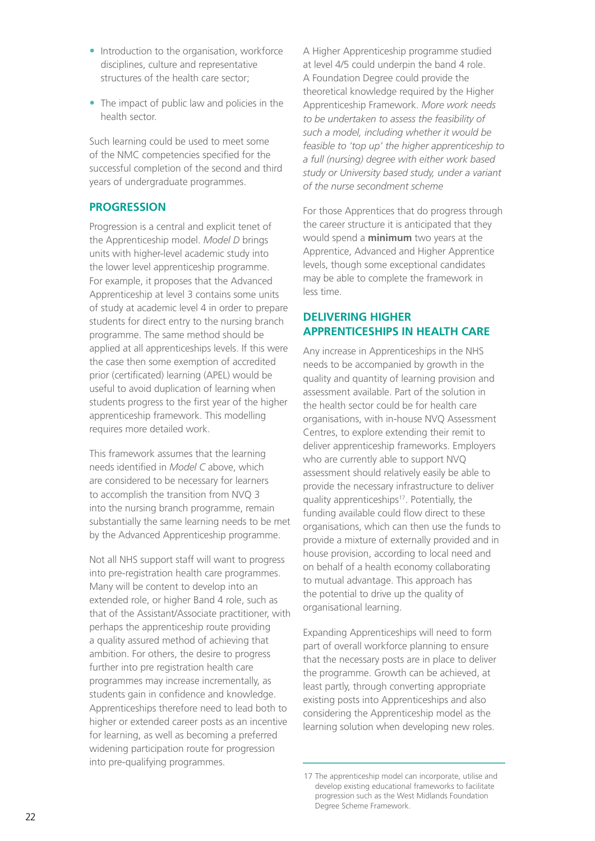- Introduction to the organisation, workforce disciplines, culture and representative structures of the health care sector;
- The impact of public law and policies in the health sector.

 such learning could be used to meet some of the NMC competencies specified for the successful completion of the second and third years of undergraduate programmes.

#### **progression**

 Progression is a central and explicit tenet of the Apprenticeship model. *Model D* brings units with higher-level academic study into the lower level apprenticeship programme. For example, it proposes that the Advanced Apprenticeship at level 3 contains some units of study at academic level 4 in order to prepare students for direct entry to the nursing branch programme. The same method should be applied at all apprenticeships levels. If this were the case then some exemption of accredited prior (certificated) learning (APel) would be useful to avoid duplication of learning when students progress to the first year of the higher apprenticeship framework. This modelling requires more detailed work.

This framework assumes that the learning needs identified in *Model C* above, which are considered to be necessary for learners to accomplish the transition from NVQ 3 into the nursing branch programme, remain substantially the same learning needs to be met by the Advanced Apprenticeship programme.

Not all NHS support staff will want to progress into pre-registration health care programmes. Many will be content to develop into an extended role, or higher Band 4 role, such as that of the Assistant/Associate practitioner, with perhaps the apprenticeship route providing a quality assured method of achieving that ambition. For others, the desire to progress further into pre registration health care programmes may increase incrementally, as students gain in confidence and knowledge. Apprenticeships therefore need to lead both to higher or extended career posts as an incentive for learning, as well as becoming a preferred widening participation route for progression into pre-qualifying programmes.

 A Higher Apprenticeship programme studied at level 4/5 could underpin the band 4 role. A Foundation Degree could provide the theoretical knowledge required by the Higher Apprenticeship Framework. *More work needs to be undertaken to assess the feasibility of such a model, including whether it would be feasible to 'top up' the higher apprenticeship to a full (nursing) degree with either work based study or University based study, under a variant of the nurse secondment scheme* 

 For those Apprentices that do progress through the career structure it is anticipated that they would spend a **minimum** two years at the Apprentice, Advanced and Higher Apprentice levels, though some exceptional candidates may be able to complete the framework in less time.

## **apprenticeships in health care Delivering higher**

 Any increase in Apprenticeships in the nHs needs to be accompanied by growth in the quality and quantity of learning provision and assessment available. Part of the solution in the health sector could be for health care organisations, with in-house nVQ Assessment centres, to explore extending their remit to who are currently able to support NVQ assessment should relatively easily be able to provide the necessary infrastructure to deliver quality apprenticeships<sup>17</sup>. Potentially, the funding available could flow direct to these organisations, which can then use the funds to provide a mixture of externally provided and in house provision, according to local need and on behalf of a health economy collaborating to mutual advantage. This approach has the potential to drive up the quality of deliver apprenticeship frameworks. Employers organisational learning.

 expanding Apprenticeships will need to form part of overall workforce planning to ensure that the necessary posts are in place to deliver the programme. Growth can be achieved, at least partly, through converting appropriate existing posts into Apprenticeships and also considering the Apprenticeship model as the learning solution when developing new roles.

<sup>17</sup> the apprenticeship model can incorporate, utilise and develop existing educational frameworks to facilitate progression such as the west midlands Foundation Degree Scheme Framework.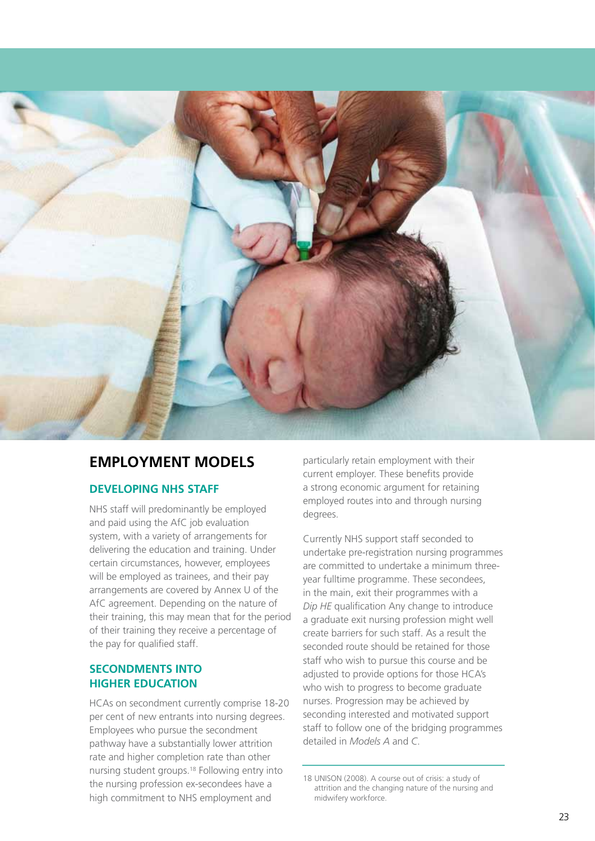

## **employment moDels**

## **Developing nhs staff**

 nHs staff will predominantly be employed and paid using the Afc job evaluation system, with a variety of arrangements for delivering the education and training. Under certain circumstances, however, employees will be employed as trainees, and their pay arrangements are covered by Annex U of the AfC agreement. Depending on the nature of their training, this may mean that for the period of their training they receive a percentage of the pay for qualified staff.

## **seconDments into higher eDucation**

 HcAs on secondment currently comprise 18-20 per cent of new entrants into nursing degrees. employees who pursue the secondment pathway have a substantially lower attrition rate and higher completion rate than other nursing student groups.<sup>18</sup> Following entry into nursing student groups.<sup>18</sup> Following entry into 18 UNISON (2008). A course out of crisis: a study of the nursing profession ex-secondees have a attrition and the changing nature of the nursing and high commitment to NHS employment and midwifery workforce.

 particularly retain employment with their current employer. These benefits provide a strong economic argument for retaining employed routes into and through nursing degrees.

 currently nHs support staff seconded to undertake pre-registration nursing programmes are committed to undertake a minimum threeyear fulltime programme. These secondees, in the main, exit their programmes with a *Dip HE* qualification Any change to introduce a graduate exit nursing profession might well create barriers for such staff. As a result the seconded route should be retained for those staff who wish to pursue this course and be adjusted to provide options for those HcA's who wish to progress to become graduate nurses. Progression may be achieved by seconding interested and motivated support staff to follow one of the bridging programmes detailed in *Models A* and *C*.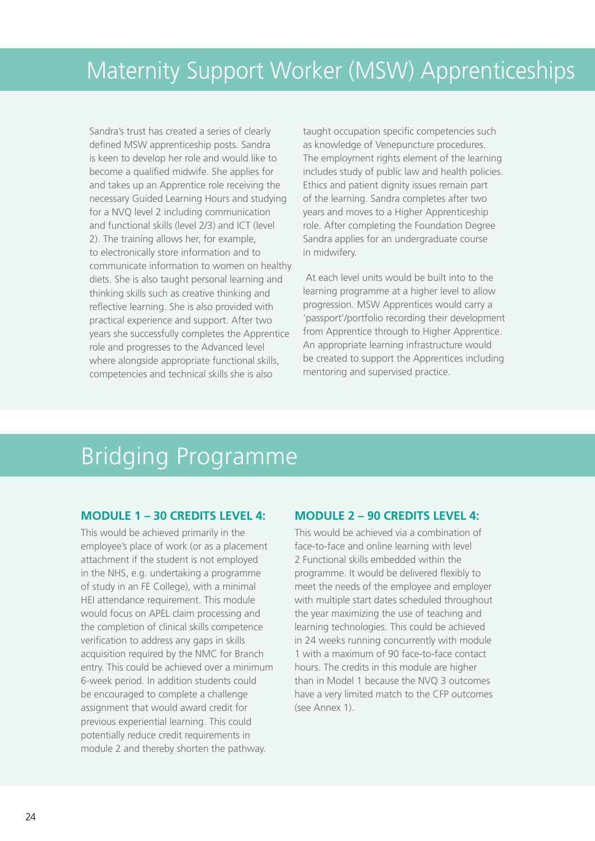sandra's trust has created a series of clearly defined MSW apprenticeship posts. Sandra is keen to develop her role and would like to become a qualified midwife. she applies for and takes up an Apprentice role receiving the necessary guided learning Hours and studying for a NVQ level 2 including communication and functional skills (level 2/3) and ICT (level 2). The training allows her, for example, to electronically store information and to communicate information to women on healthy diets. she is also taught personal learning and thinking skills such as creative thinking and reflective learning. she is also provided with practical experience and support. After two years she successfully completes the Apprentice role and progresses to the Advanced level where alongside appropriate functional skills, competencies and technical skills she is also

 taught occupation specific competencies such as knowledge of Venepuncture procedures. The employment rights element of the learning includes study of public law and health policies. Ethics and patient dignity issues remain part of the learning. sandra completes after two years and moves to a Higher Apprenticeship role. After completing the Foundation Degree sandra applies for an undergraduate course in midwifery.

 At each level units would be built into to the learning programme at a higher level to allow progression. msw Apprentices would carry a 'passport'/portfolio recording their development from Apprentice through to Higher Apprentice. An appropriate learning infrastructure would be created to support the Apprentices including mentoring and supervised practice.

## Bridging Programme

## **moDule 1 – 30 creDits level 4:**

This would be achieved primarily in the employee's place of work (or as a placement attachment if the student is not employed in the nHs, e.g. undertaking a programme of study in an Fe college), with a minimal HEI attendance requirement. This module would focus on APel claim processing and the completion of clinical skills competence verification to address any gaps in skills acquisition required by the NMC for Branch entry. This could be achieved over a minimum 6-week period. In addition students could be encouraged to complete a challenge assignment that would award credit for previous experiential learning. This could potentially reduce credit requirements in module 2 and thereby shorten the pathway.

## **moDule 2 – 90 creDits level 4:**

This would be achieved via a combination of face-to-face and online learning with level 2 Functional skills embedded within the programme. It would be delivered flexibly to meet the needs of the employee and employer with multiple start dates scheduled throughout the year maximizing the use of teaching and learning technologies. This could be achieved in 24 weeks running concurrently with module 1 with a maximum of 90 face-to-face contact hours. The credits in this module are higher than in model 1 because the nVQ 3 outcomes have a very limited match to the cFP outcomes (see Annex 1).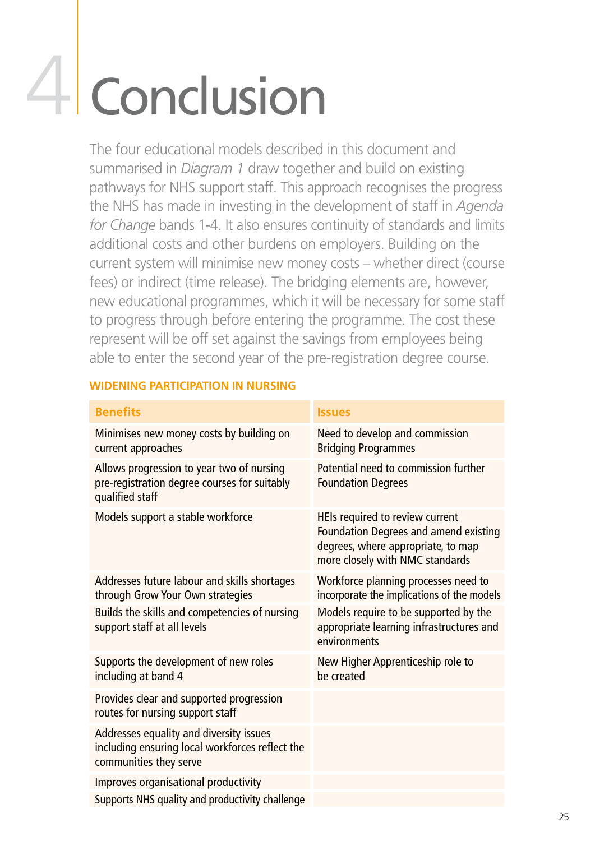# 4 Conclusion

 the four educational models described in this document and summarised in *Diagram 1* draw together and build on existing pathways for NHS support staff. This approach recognises the progress the nHs has made in investing in the development of staff in *Agenda for Change* bands 1-4. It also ensures continuity of standards and limits additional costs and other burdens on employers. Building on the current system will minimise new money costs – whether direct (course fees) or indirect (time release). The bridging elements are, however, new educational programmes, which it will be necessary for some staff to progress through before entering the programme. The cost these represent will be off set against the savings from employees being able to enter the second year of the pre-registration degree course.

## **WiDening participation in nursing**

| <b>Benefits</b>                                                                                                      | <b>Issues</b>                                                                                                                                            |
|----------------------------------------------------------------------------------------------------------------------|----------------------------------------------------------------------------------------------------------------------------------------------------------|
| Minimises new money costs by building on<br>current approaches                                                       | Need to develop and commission<br><b>Bridging Programmes</b>                                                                                             |
| Allows progression to year two of nursing<br>pre-registration degree courses for suitably<br>qualified staff         | Potential need to commission further<br><b>Foundation Degrees</b>                                                                                        |
| Models support a stable workforce                                                                                    | HEIs required to review current<br><b>Foundation Degrees and amend existing</b><br>degrees, where appropriate, to map<br>more closely with NMC standards |
| Addresses future labour and skills shortages<br>through Grow Your Own strategies                                     | Workforce planning processes need to<br>incorporate the implications of the models                                                                       |
| Builds the skills and competencies of nursing<br>support staff at all levels                                         | Models require to be supported by the<br>appropriate learning infrastructures and<br>environments                                                        |
| Supports the development of new roles<br>including at band 4                                                         | New Higher Apprenticeship role to<br>be created                                                                                                          |
| Provides clear and supported progression<br>routes for nursing support staff                                         |                                                                                                                                                          |
| Addresses equality and diversity issues<br>including ensuring local workforces reflect the<br>communities they serve |                                                                                                                                                          |
| Improves organisational productivity                                                                                 |                                                                                                                                                          |
| Supports NHS quality and productivity challenge                                                                      |                                                                                                                                                          |
|                                                                                                                      |                                                                                                                                                          |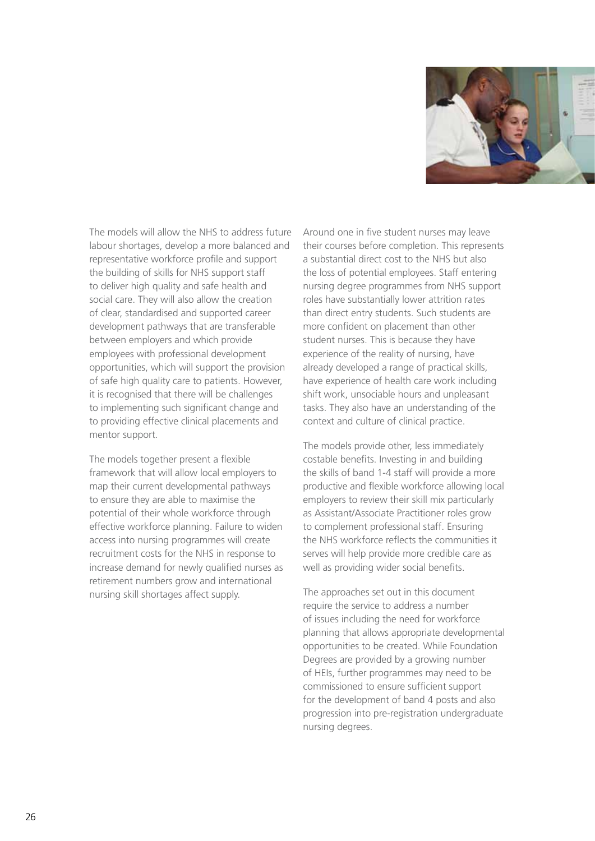

The models will allow the NHS to address future labour shortages, develop a more balanced and representative workforce profile and support the building of skills for NHS support staff to deliver high quality and safe health and social care. They will also allow the creation of clear, standardised and supported career development pathways that are transferable between employers and which provide employees with professional development opportunities, which will support the provision of safe high quality care to patients. However, it is recognised that there will be challenges to implementing such significant change and to providing effective clinical placements and mentor support.

The models together present a flexible framework that will allow local employers to map their current developmental pathways to ensure they are able to maximise the potential of their whole workforce through effective workforce planning. Failure to widen access into nursing programmes will create recruitment costs for the NHS in response to increase demand for newly qualified nurses as retirement numbers grow and international nursing skill shortages affect supply.

 Around one in five student nurses may leave their courses before completion. This represents a substantial direct cost to the nHs but also the loss of potential employees. staff entering nursing degree programmes from nHs support roles have substantially lower attrition rates than direct entry students. such students are more confident on placement than other student nurses. This is because they have experience of the reality of nursing, have already developed a range of practical skills, have experience of health care work including shift work, unsociable hours and unpleasant tasks. They also have an understanding of the context and culture of clinical practice.

The models provide other, less immediately costable benefits. Investing in and building the skills of band 1-4 staff will provide a more productive and flexible workforce allowing local employers to review their skill mix particularly as Assistant/Associate Practitioner roles grow to complement professional staff. Ensuring the NHS workforce reflects the communities it serves will help provide more credible care as well as providing wider social benefits.

The approaches set out in this document require the service to address a number of issues including the need for workforce planning that allows appropriate developmental opportunities to be created. while Foundation Degrees are provided by a growing number of HeIs, further programmes may need to be commissioned to ensure sufficient support for the development of band 4 posts and also progression into pre-registration undergraduate nursing degrees.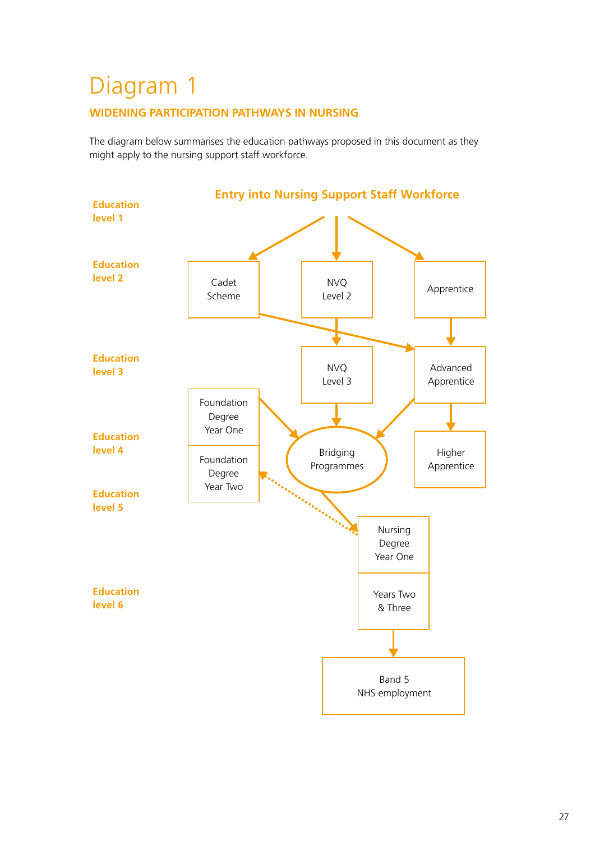# Diagram 1

## **WiDening participation pathWays in nursing**

the diagram below summarises the education pathways proposed in this document as they might apply to the nursing support staff workforce.

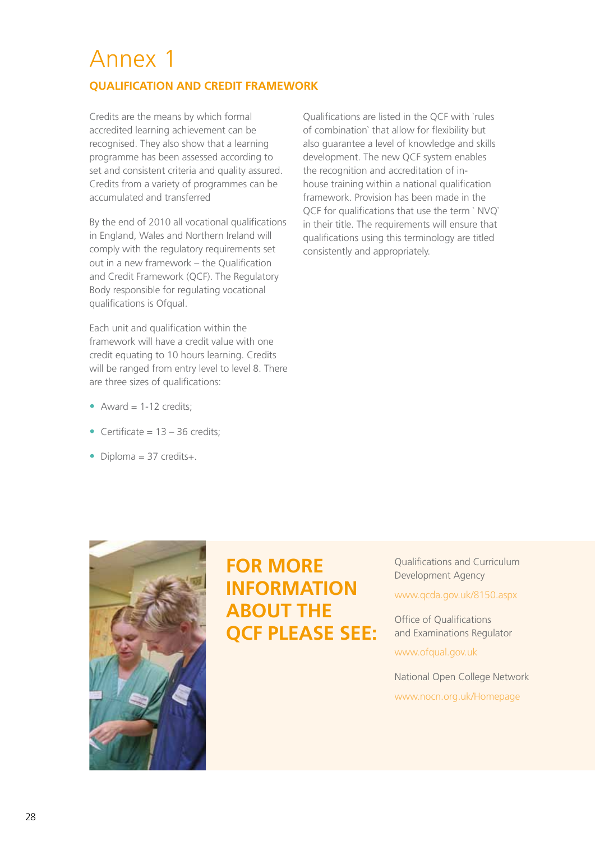## Annex 1

## **qualification anD creDit frameWork**

 credits are the means by which formal accredited learning achievement can be recognised. They also show that a learning programme has been assessed according to set and consistent criteria and quality assured. credits from a variety of programmes can be accumulated and transferred

 By the end of 2010 all vocational qualifications in England, Wales and Northern Ireland will comply with the regulatory requirements set out in a new framework – the Qualification and Credit Framework (QCF). The Regulatory Body responsible for regulating vocational qualifications is ofqual.

Each unit and qualification within the framework will have a credit value with one credit equating to 10 hours learning. credits will be ranged from entry level to level 8. There are three sizes of qualifications:

- Award  $= 1-12$  credits;
- Certificate = 13 36 credits;
- Diploma = 37 credits+.

 Qualifications are listed in the QcF with `rules of combination` that allow for flexibility but also guarantee a level of knowledge and skills development. The new QCF system enables the recognition and accreditation of in- house training within a national qualification framework. Provision has been made in the QCF for qualifications that use the term `NVQ` in their title. The requirements will ensure that qualifications using this terminology are titled consistently and appropriately.



## **for more aBout the qcf please see: information**

 Qualifications and curriculum Development Agency

#### www.qcda.gov.uk/8150.aspx

 office of Qualifications and Examinations Regulator

www.ofqual.gov.uk

National Open College Network www.nocn.org.uk/Homepage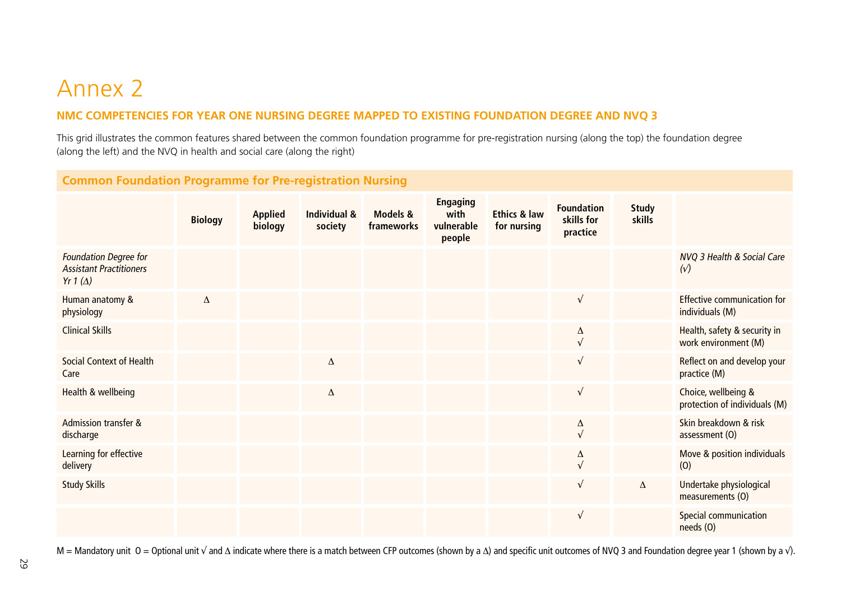## Annex 2

## **nmc competencies for year one nursing Degree mappeD to existing founDation Degree anD nvq 3**

this grid illustrates the common features shared between the common foundation programme for pre-registration nursing (along the top) the foundation degree (along the left) and the nVQ in health and social care (along the right)

## **common foundation programme for pre-registration nursing**

|                                                                                   | <b>Biology</b> | <b>Applied</b><br>biology | Individual &<br>society | Models &<br>frameworks | <b>Engaging</b><br>with<br>vulnerable<br>people | <b>Ethics &amp; law</b><br>for nursing | <b>Foundation</b><br>skills for<br>practice | <b>Study</b><br>skills |                                                      |
|-----------------------------------------------------------------------------------|----------------|---------------------------|-------------------------|------------------------|-------------------------------------------------|----------------------------------------|---------------------------------------------|------------------------|------------------------------------------------------|
| <b>Foundation Degree for</b><br><b>Assistant Practitioners</b><br>Yr 1 $(\Delta)$ |                |                           |                         |                        |                                                 |                                        |                                             |                        | NVQ 3 Health & Social Care<br>$(\sqrt{2})$           |
| Human anatomy &<br>physiology                                                     | $\Delta$       |                           |                         |                        |                                                 |                                        | $\sqrt{ }$                                  |                        | Effective communication for<br>individuals (M)       |
| <b>Clinical Skills</b>                                                            |                |                           |                         |                        |                                                 |                                        | Δ<br>$\sqrt{ }$                             |                        | Health, safety & security in<br>work environment (M) |
| <b>Social Context of Health</b><br>Care                                           |                |                           | Δ                       |                        |                                                 |                                        | $\sqrt{ }$                                  |                        | Reflect on and develop your<br>practice (M)          |
| Health & wellbeing                                                                |                |                           | Δ                       |                        |                                                 |                                        | $\sqrt{ }$                                  |                        | Choice, wellbeing &<br>protection of individuals (M) |
| <b>Admission transfer &amp;</b><br>discharge                                      |                |                           |                         |                        |                                                 |                                        | Δ<br>$\sqrt{ }$                             |                        | Skin breakdown & risk<br>assessment (O)              |
| Learning for effective<br>delivery                                                |                |                           |                         |                        |                                                 |                                        | Δ                                           |                        | Move & position individuals<br>(0)                   |
| <b>Study Skills</b>                                                               |                |                           |                         |                        |                                                 |                                        | $\sqrt{ }$                                  | Δ                      | Undertake physiological<br>measurements (O)          |
|                                                                                   |                |                           |                         |                        |                                                 |                                        | $\sqrt{ }$                                  |                        | Special communication<br>needs (O)                   |

M = Mandatory unit O = Optional unit √ and ∆ indicate where there is a match between CFP outcomes (shown by a  $\Delta$ ) and specific unit outcomes of NVQ 3 and Foundation degree year 1 (shown by a  $\sqrt{}$ ).